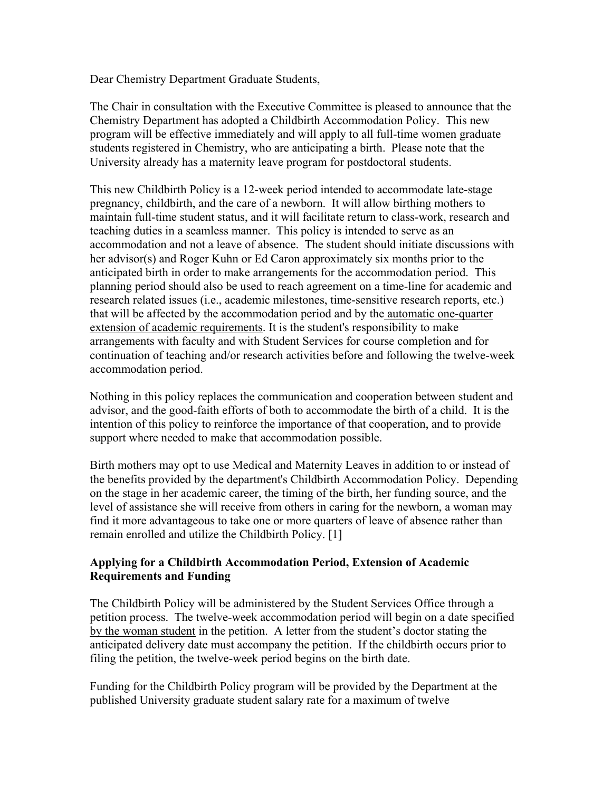Dear Chemistry Department Graduate Students,

The Chair in consultation with the Executive Committee is pleased to announce that the Chemistry Department has adopted a Childbirth Accommodation Policy. This new program will be effective immediately and will apply to all full-time women graduate students registered in Chemistry, who are anticipating a birth. Please note that the University already has a maternity leave program for postdoctoral students.

This new Childbirth Policy is a 12-week period intended to accommodate late-stage pregnancy, childbirth, and the care of a newborn. It will allow birthing mothers to maintain full-time student status, and it will facilitate return to class-work, research and teaching duties in a seamless manner. This policy is intended to serve as an accommodation and not a leave of absence. The student should initiate discussions with her advisor(s) and Roger Kuhn or Ed Caron approximately six months prior to the anticipated birth in order to make arrangements for the accommodation period. This planning period should also be used to reach agreement on a time-line for academic and research related issues (i.e., academic milestones, time-sensitive research reports, etc.) that will be affected by the accommodation period and by the automatic one-quarter extension of academic requirements. It is the student's responsibility to make arrangements with faculty and with Student Services for course completion and for continuation of teaching and/or research activities before and following the twelve-week accommodation period.

Nothing in this policy replaces the communication and cooperation between student and advisor, and the good-faith efforts of both to accommodate the birth of a child. It is the intention of this policy to reinforce the importance of that cooperation, and to provide support where needed to make that accommodation possible.

Birth mothers may opt to use Medical and Maternity Leaves in addition to or instead of the benefits provided by the department's Childbirth Accommodation Policy. Depending on the stage in her academic career, the timing of the birth, her funding source, and the level of assistance she will receive from others in caring for the newborn, a woman may find it more advantageous to take one or more quarters of leave of absence rather than remain enrolled and utilize the Childbirth Policy. [1]

## **Applying for a Childbirth Accommodation Period, Extension of Academic Requirements and Funding**

The Childbirth Policy will be administered by the Student Services Office through a petition process. The twelve-week accommodation period will begin on a date specified by the woman student in the petition. A letter from the student's doctor stating the anticipated delivery date must accompany the petition. If the childbirth occurs prior to filing the petition, the twelve-week period begins on the birth date.

Funding for the Childbirth Policy program will be provided by the Department at the published University graduate student salary rate for a maximum of twelve